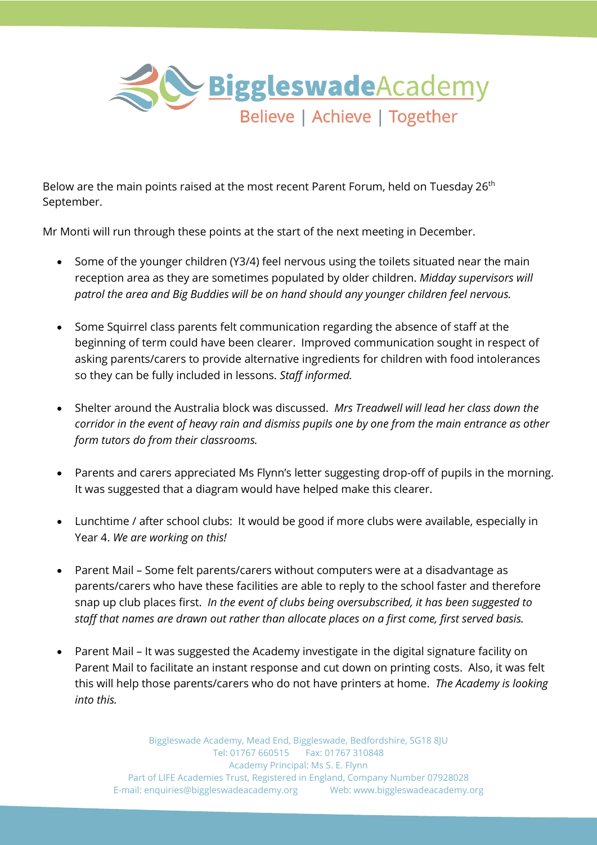

Below are the main points raised at the most recent Parent Forum, held on Tuesday 26<sup>th</sup> September.

Mr Monti will run through these points at the start of the next meeting in December.

- Some of the younger children (Y3/4) feel nervous using the toilets situated near the main reception area as they are sometimes populated by older children. *Midday supervisors will patrol the area and Big Buddies will be on hand should any younger children feel nervous.*
- Some Squirrel class parents felt communication regarding the absence of staff at the beginning of term could have been clearer. Improved communication sought in respect of asking parents/carers to provide alternative ingredients for children with food intolerances so they can be fully included in lessons. *Staff informed.*
- Shelter around the Australia block was discussed. *Mrs Treadwell will lead her class down the corridor in the event of heavy rain and dismiss pupils one by one from the main entrance as other form tutors do from their classrooms.*
- Parents and carers appreciated Ms Flynn's letter suggesting drop-off of pupils in the morning. It was suggested that a diagram would have helped make this clearer.
- Lunchtime / after school clubs: It would be good if more clubs were available, especially in Year 4. *We are working on this!*
- Parent Mail Some felt parents/carers without computers were at a disadvantage as parents/carers who have these facilities are able to reply to the school faster and therefore snap up club places first. *In the event of clubs being oversubscribed, it has been suggested to staff that names are drawn out rather than allocate places on a first come, first served basis.*
- Parent Mail It was suggested the Academy investigate in the digital signature facility on Parent Mail to facilitate an instant response and cut down on printing costs. Also, it was felt this will help those parents/carers who do not have printers at home. *The Academy is looking into this.*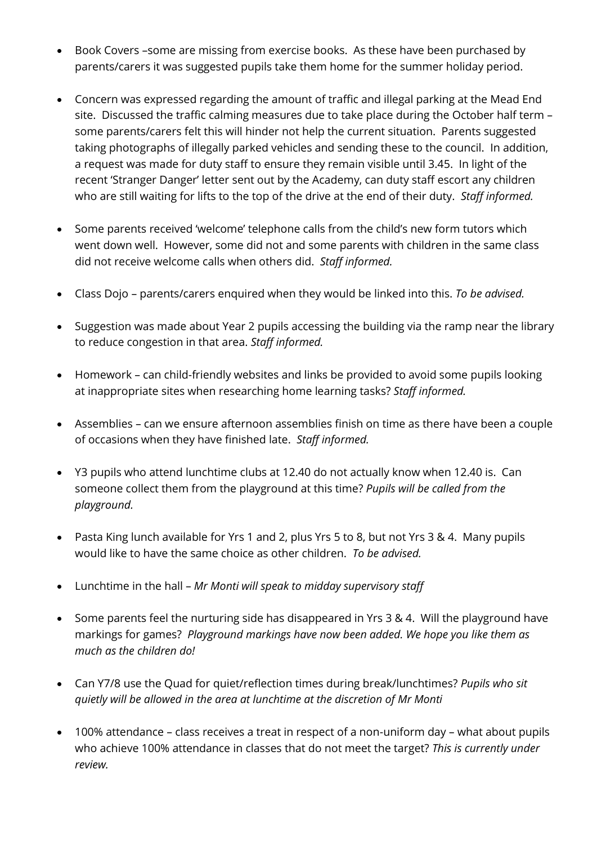- Book Covers –some are missing from exercise books. As these have been purchased by parents/carers it was suggested pupils take them home for the summer holiday period.
- Concern was expressed regarding the amount of traffic and illegal parking at the Mead End site. Discussed the traffic calming measures due to take place during the October half term – some parents/carers felt this will hinder not help the current situation. Parents suggested taking photographs of illegally parked vehicles and sending these to the council. In addition, a request was made for duty staff to ensure they remain visible until 3.45. In light of the recent 'Stranger Danger' letter sent out by the Academy, can duty staff escort any children who are still waiting for lifts to the top of the drive at the end of their duty. *Staff informed.*
- Some parents received 'welcome' telephone calls from the child's new form tutors which went down well. However, some did not and some parents with children in the same class did not receive welcome calls when others did. *Staff informed.*
- Class Dojo parents/carers enquired when they would be linked into this. *To be advised.*
- Suggestion was made about Year 2 pupils accessing the building via the ramp near the library to reduce congestion in that area. *Staff informed.*
- Homework can child-friendly websites and links be provided to avoid some pupils looking at inappropriate sites when researching home learning tasks? *Staff informed.*
- Assemblies can we ensure afternoon assemblies finish on time as there have been a couple of occasions when they have finished late. *Staff informed.*
- Y3 pupils who attend lunchtime clubs at 12.40 do not actually know when 12.40 is. Can someone collect them from the playground at this time? *Pupils will be called from the playground.*
- Pasta King lunch available for Yrs 1 and 2, plus Yrs 5 to 8, but not Yrs 3 & 4. Many pupils would like to have the same choice as other children. *To be advised.*
- Lunchtime in the hall *Mr Monti will speak to midday supervisory staff*
- Some parents feel the nurturing side has disappeared in Yrs 3 & 4. Will the playground have markings for games? *Playground markings have now been added. We hope you like them as much as the children do!*
- Can Y7/8 use the Quad for quiet/reflection times during break/lunchtimes? *Pupils who sit quietly will be allowed in the area at lunchtime at the discretion of Mr Monti*
- 100% attendance class receives a treat in respect of a non-uniform day what about pupils who achieve 100% attendance in classes that do not meet the target? *This is currently under review.*